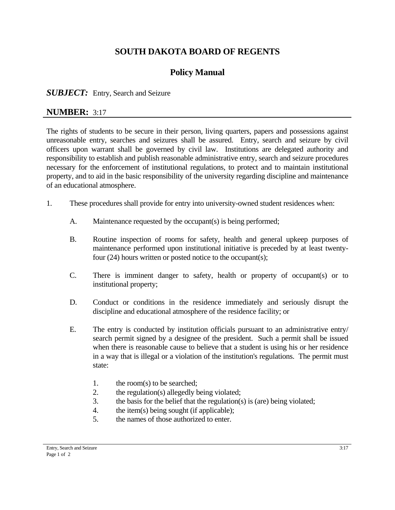# **SOUTH DAKOTA BOARD OF REGENTS**

# **Policy Manual**

#### **SUBJECT:** Entry, Search and Seizure

### **NUMBER:** 3:17

The rights of students to be secure in their person, living quarters, papers and possessions against unreasonable entry, searches and seizures shall be assured. Entry, search and seizure by civil officers upon warrant shall be governed by civil law. Institutions are delegated authority and responsibility to establish and publish reasonable administrative entry, search and seizure procedures necessary for the enforcement of institutional regulations, to protect and to maintain institutional property, and to aid in the basic responsibility of the university regarding discipline and maintenance of an educational atmosphere.

- 1. These procedures shall provide for entry into university-owned student residences when:
	- A. Maintenance requested by the occupant(s) is being performed;
	- B. Routine inspection of rooms for safety, health and general upkeep purposes of maintenance performed upon institutional initiative is preceded by at least twentyfour (24) hours written or posted notice to the occupant(s);
	- C. There is imminent danger to safety, health or property of occupant(s) or to institutional property;
	- D. Conduct or conditions in the residence immediately and seriously disrupt the discipline and educational atmosphere of the residence facility; or
	- E. The entry is conducted by institution officials pursuant to an administrative entry/ search permit signed by a designee of the president. Such a permit shall be issued when there is reasonable cause to believe that a student is using his or her residence in a way that is illegal or a violation of the institution's regulations. The permit must state:
		- 1. the room(s) to be searched;
		- 2. the regulation(s) allegedly being violated;
		- 3. the basis for the belief that the regulation(s) is (are) being violated;
		- 4. the item(s) being sought (if applicable);
		- 5. the names of those authorized to enter.